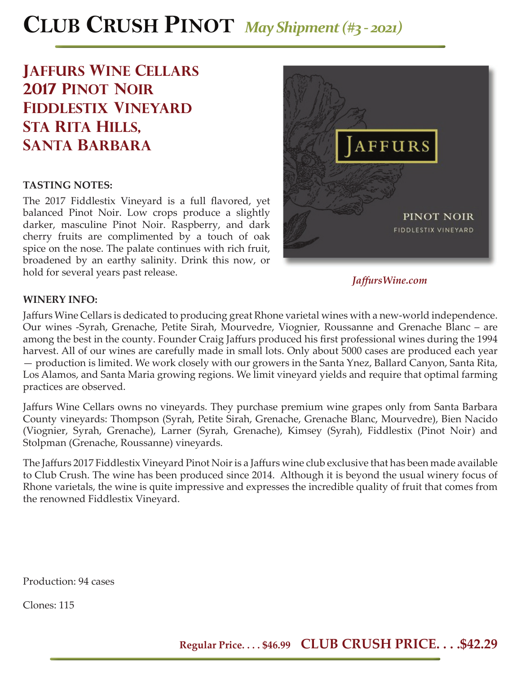# **CLUB CRUSH PINOT** *May Shipment (#3 - 2021)*

# **jaffurs Wine cellars 2017 pinot noir Fiddlestix vineyard sta rita hills, santa barbara**

### **TASTING NOTES:**

The 2017 Fiddlestix Vineyard is a full flavored, yet balanced Pinot Noir. Low crops produce a slightly darker, masculine Pinot Noir. Raspberry, and dark cherry fruits are complimented by a touch of oak spice on the nose. The palate continues with rich fruit, broadened by an earthy salinity. Drink this now, or hold for several years past release.



*Jaff ursWine.com*

#### **WINERY INFO:**

Jaffurs Wine Cellars is dedicated to producing great Rhone varietal wines with a new-world independence. Our wines -Syrah, Grenache, Petite Sirah, Mourvedre, Viognier, Roussanne and Grenache Blanc – are among the best in the county. Founder Craig Jaffurs produced his first professional wines during the 1994 harvest. All of our wines are carefully made in small lots. Only about 5000 cases are produced each year — production is limited. We work closely with our growers in the Santa Ynez, Ballard Canyon, Santa Rita, Los Alamos, and Santa Maria growing regions. We limit vineyard yields and require that optimal farming practices are observed.

Jaffurs Wine Cellars owns no vineyards. They purchase premium wine grapes only from Santa Barbara County vineyards: Thompson (Syrah, Petite Sirah, Grenache, Grenache Blanc, Mourvedre), Bien Nacido (Viognier, Syrah, Grenache), Larner (Syrah, Grenache), Kimsey (Syrah), Fiddlestix (Pinot Noir) and Stolpman (Grenache, Roussanne) vineyards.

The Jaffurs 2017 Fiddlestix Vineyard Pinot Noir is a Jaffurs wine club exclusive that has been made available to Club Crush. The wine has been produced since 2014. Although it is beyond the usual winery focus of Rhone varietals, the wine is quite impressive and expresses the incredible quality of fruit that comes from the renowned Fiddlestix Vineyard.

Production: 94 cases

Clones: 115